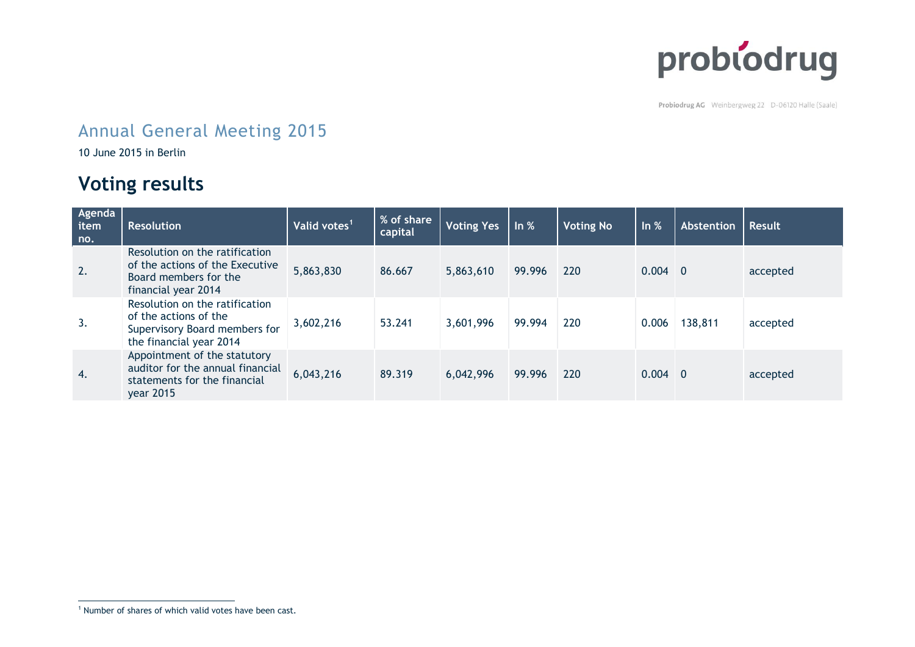

Probiodrug AG Weinbergweg 22 D-06120 Halle (Saale)

## Annual General Meeting 2015

10 June 2015 in Berlin

## **Voting results**

| Agenda<br>item<br>no. | <b>Resolution</b>                                                                                                   | Valid votes <sup>1</sup> | % of share<br>capital | <b>Voting Yes</b> | ln %   | <b>Voting No</b> | ln %      | Abstention | <b>Result</b> |
|-----------------------|---------------------------------------------------------------------------------------------------------------------|--------------------------|-----------------------|-------------------|--------|------------------|-----------|------------|---------------|
| 2.                    | Resolution on the ratification<br>of the actions of the Executive<br>Board members for the<br>financial year 2014   | 5,863,830                | 86.667                | 5,863,610         | 99.996 | 220              | $0.004$ 0 |            | accepted      |
| 3.                    | Resolution on the ratification<br>of the actions of the<br>Supervisory Board members for<br>the financial year 2014 | 3,602,216                | 53.241                | 3,601,996         | 99.994 | 220              | 0.006     | 138,811    | accepted      |
| 4.                    | Appointment of the statutory<br>auditor for the annual financial<br>statements for the financial<br>year 2015       | 6,043,216                | 89.319                | 6,042,996         | 99.996 | 220              | $0.004$ 0 |            | accepted      |

 $\overline{a}$ <sup>1</sup> Number of shares of which valid votes have been cast.